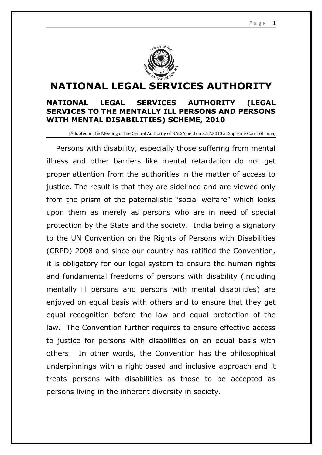

# **NATIONAL LEGAL SERVICES AUTHORITY**

## **NATIONAL LEGAL SERVICES AUTHORITY (LEGAL SERVICES TO THE MENTALLY ILL PERSONS AND PERSONS WITH MENTAL DISABILITIES) SCHEME, 2010**

[Adopted in the Meeting of the Central Authority of NALSA held on 8.12.2010 at Supreme Court of India]

Persons with disability, especially those suffering from mental illness and other barriers like mental retardation do not get proper attention from the authorities in the matter of access to justice. The result is that they are sidelined and are viewed only from the prism of the paternalistic "social welfare" which looks upon them as merely as persons who are in need of special protection by the State and the society. India being a signatory to the UN Convention on the Rights of Persons with Disabilities (CRPD) 2008 and since our country has ratified the Convention, it is obligatory for our legal system to ensure the human rights and fundamental freedoms of persons with disability (including mentally ill persons and persons with mental disabilities) are enjoyed on equal basis with others and to ensure that they get equal recognition before the law and equal protection of the law. The Convention further requires to ensure effective access to justice for persons with disabilities on an equal basis with others. In other words, the Convention has the philosophical underpinnings with a right based and inclusive approach and it treats persons with disabilities as those to be accepted as persons living in the inherent diversity in society.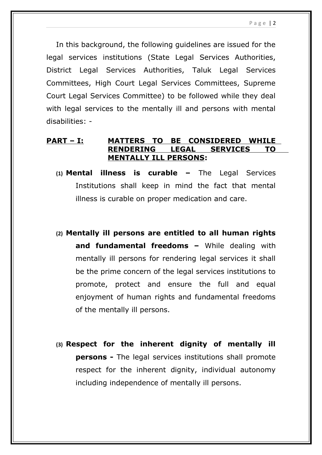P a g e | 2

In this background, the following guidelines are issued for the legal services institutions (State Legal Services Authorities, District Legal Services Authorities, Taluk Legal Services Committees, High Court Legal Services Committees, Supreme Court Legal Services Committee) to be followed while they deal with legal services to the mentally ill and persons with mental disabilities: -

# **PART – I: MATTERS TO BE CONSIDERED WHILE RENDERING LEGAL SERVICES TO MENTALLY ILL PERSONS:**

- **(1) Mental illness is curable** The Legal Services Institutions shall keep in mind the fact that mental illness is curable on proper medication and care.
- **(2) Mentally ill persons are entitled to all human rights and fundamental freedoms –** While dealing with mentally ill persons for rendering legal services it shall be the prime concern of the legal services institutions to promote, protect and ensure the full and equal enjoyment of human rights and fundamental freedoms of the mentally ill persons.
- **(3) Respect for the inherent dignity of mentally ill persons -** The legal services institutions shall promote respect for the inherent dignity, individual autonomy including independence of mentally ill persons.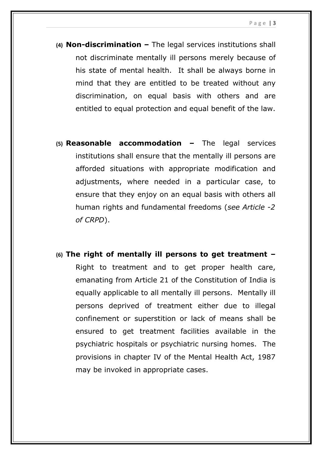- **(4) Non-discrimination** The legal services institutions shall not discriminate mentally ill persons merely because of his state of mental health. It shall be always borne in mind that they are entitled to be treated without any discrimination, on equal basis with others and are entitled to equal protection and equal benefit of the law.
- **(5) Reasonable accommodation** The legal services institutions shall ensure that the mentally ill persons are afforded situations with appropriate modification and adjustments, where needed in a particular case, to ensure that they enjoy on an equal basis with others all human rights and fundamental freedoms (*see Article -2 of CRPD*).
- **(6) The right of mentally ill persons to get treatment –** Right to treatment and to get proper health care, emanating from Article 21 of the Constitution of India is equally applicable to all mentally ill persons. Mentally ill persons deprived of treatment either due to illegal confinement or superstition or lack of means shall be ensured to get treatment facilities available in the psychiatric hospitals or psychiatric nursing homes. The provisions in chapter IV of the Mental Health Act, 1987 may be invoked in appropriate cases.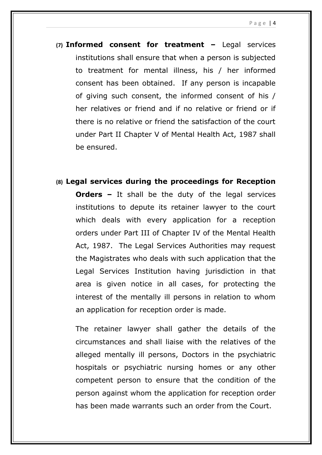- **(7) Informed consent for treatment** Legal services institutions shall ensure that when a person is subjected to treatment for mental illness, his / her informed consent has been obtained. If any person is incapable of giving such consent, the informed consent of his / her relatives or friend and if no relative or friend or if there is no relative or friend the satisfaction of the court under Part II Chapter V of Mental Health Act, 1987 shall be ensured.
- **(8) Legal services during the proceedings for Reception Orders -** It shall be the duty of the legal services institutions to depute its retainer lawyer to the court which deals with every application for a reception orders under Part III of Chapter IV of the Mental Health Act, 1987. The Legal Services Authorities may request the Magistrates who deals with such application that the Legal Services Institution having jurisdiction in that area is given notice in all cases, for protecting the interest of the mentally ill persons in relation to whom an application for reception order is made.

The retainer lawyer shall gather the details of the circumstances and shall liaise with the relatives of the alleged mentally ill persons, Doctors in the psychiatric hospitals or psychiatric nursing homes or any other competent person to ensure that the condition of the person against whom the application for reception order has been made warrants such an order from the Court.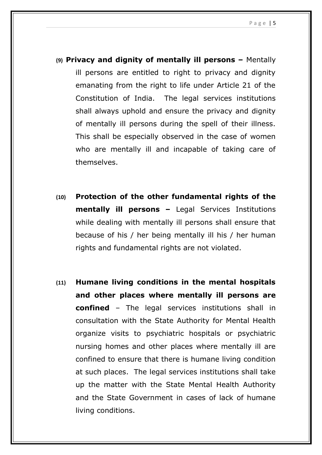- **(9) Privacy and dignity of mentally ill persons** Mentally ill persons are entitled to right to privacy and dignity emanating from the right to life under Article 21 of the Constitution of India. The legal services institutions shall always uphold and ensure the privacy and dignity of mentally ill persons during the spell of their illness. This shall be especially observed in the case of women who are mentally ill and incapable of taking care of themselves.
- **(10) Protection of the other fundamental rights of the mentally ill persons –** Legal Services Institutions while dealing with mentally ill persons shall ensure that because of his / her being mentally ill his / her human rights and fundamental rights are not violated.
- **(11) Humane living conditions in the mental hospitals and other places where mentally ill persons are confined** – The legal services institutions shall in consultation with the State Authority for Mental Health organize visits to psychiatric hospitals or psychiatric nursing homes and other places where mentally ill are confined to ensure that there is humane living condition at such places. The legal services institutions shall take up the matter with the State Mental Health Authority and the State Government in cases of lack of humane living conditions.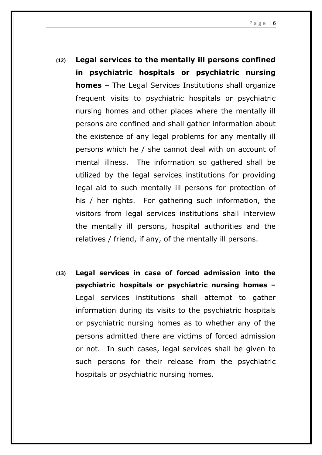- **(12) Legal services to the mentally ill persons confined in psychiatric hospitals or psychiatric nursing homes** – The Legal Services Institutions shall organize frequent visits to psychiatric hospitals or psychiatric nursing homes and other places where the mentally ill persons are confined and shall gather information about the existence of any legal problems for any mentally ill persons which he / she cannot deal with on account of mental illness. The information so gathered shall be utilized by the legal services institutions for providing legal aid to such mentally ill persons for protection of his / her rights. For gathering such information, the visitors from legal services institutions shall interview the mentally ill persons, hospital authorities and the relatives / friend, if any, of the mentally ill persons.
- **(13) Legal services in case of forced admission into the psychiatric hospitals or psychiatric nursing homes –** Legal services institutions shall attempt to gather information during its visits to the psychiatric hospitals or psychiatric nursing homes as to whether any of the persons admitted there are victims of forced admission or not. In such cases, legal services shall be given to such persons for their release from the psychiatric hospitals or psychiatric nursing homes.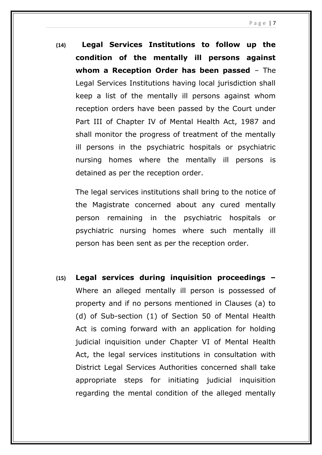**(14) Legal Services Institutions to follow up the condition of the mentally ill persons against whom a Reception Order has been passed** – The Legal Services Institutions having local jurisdiction shall keep a list of the mentally ill persons against whom reception orders have been passed by the Court under Part III of Chapter IV of Mental Health Act, 1987 and shall monitor the progress of treatment of the mentally ill persons in the psychiatric hospitals or psychiatric nursing homes where the mentally ill persons is detained as per the reception order.

The legal services institutions shall bring to the notice of the Magistrate concerned about any cured mentally person remaining in the psychiatric hospitals or psychiatric nursing homes where such mentally ill person has been sent as per the reception order.

**(15) Legal services during inquisition proceedings –** Where an alleged mentally ill person is possessed of property and if no persons mentioned in Clauses (a) to (d) of Sub-section (1) of Section 50 of Mental Health Act is coming forward with an application for holding judicial inquisition under Chapter VI of Mental Health Act, the legal services institutions in consultation with District Legal Services Authorities concerned shall take appropriate steps for initiating judicial inquisition regarding the mental condition of the alleged mentally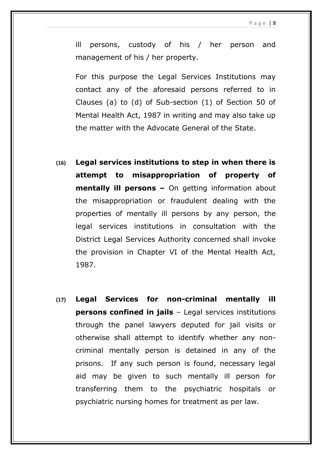ill persons, custody of his / her person and management of his / her property.

For this purpose the Legal Services Institutions may contact any of the aforesaid persons referred to in Clauses (a) to (d) of Sub-section (1) of Section 50 of Mental Health Act, 1987 in writing and may also take up the matter with the Advocate General of the State.

- **(16) Legal services institutions to step in when there is attempt to misappropriation of property of mentally ill persons –** On getting information about the misappropriation or fraudulent dealing with the properties of mentally ill persons by any person, the legal services institutions in consultation with the District Legal Services Authority concerned shall invoke the provision in Chapter VI of the Mental Health Act, 1987.
- **(17) Legal Services for non-criminal mentally ill persons confined in jails** – Legal services institutions through the panel lawyers deputed for jail visits or otherwise shall attempt to identify whether any noncriminal mentally person is detained in any of the prisons. If any such person is found, necessary legal aid may be given to such mentally ill person for transferring them to the psychiatric hospitals or psychiatric nursing homes for treatment as per law.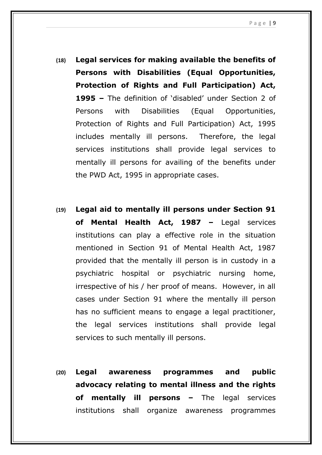- **(18) Legal services for making available the benefits of Persons with Disabilities (Equal Opportunities, Protection of Rights and Full Participation) Act, 1995 –** The definition of 'disabled' under Section 2 of Persons with Disabilities (Equal Opportunities, Protection of Rights and Full Participation) Act, 1995 includes mentally ill persons. Therefore, the legal services institutions shall provide legal services to mentally ill persons for availing of the benefits under the PWD Act, 1995 in appropriate cases.
- **(19) Legal aid to mentally ill persons under Section 91 of Mental Health Act, 1987 –** Legal services institutions can play a effective role in the situation mentioned in Section 91 of Mental Health Act, 1987 provided that the mentally ill person is in custody in a psychiatric hospital or psychiatric nursing home, irrespective of his / her proof of means. However, in all cases under Section 91 where the mentally ill person has no sufficient means to engage a legal practitioner, the legal services institutions shall provide legal services to such mentally ill persons.
- **(20) Legal awareness programmes and public advocacy relating to mental illness and the rights of mentally ill persons –** The legal services institutions shall organize awareness programmes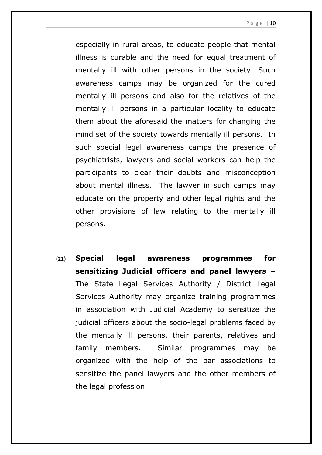especially in rural areas, to educate people that mental illness is curable and the need for equal treatment of mentally ill with other persons in the society. Such awareness camps may be organized for the cured mentally ill persons and also for the relatives of the mentally ill persons in a particular locality to educate them about the aforesaid the matters for changing the mind set of the society towards mentally ill persons. In such special legal awareness camps the presence of psychiatrists, lawyers and social workers can help the participants to clear their doubts and misconception about mental illness. The lawyer in such camps may educate on the property and other legal rights and the other provisions of law relating to the mentally ill persons.

**(21) Special legal awareness programmes for sensitizing Judicial officers and panel lawyers –** The State Legal Services Authority / District Legal Services Authority may organize training programmes in association with Judicial Academy to sensitize the judicial officers about the socio-legal problems faced by the mentally ill persons, their parents, relatives and family members. Similar programmes may be organized with the help of the bar associations to sensitize the panel lawyers and the other members of the legal profession.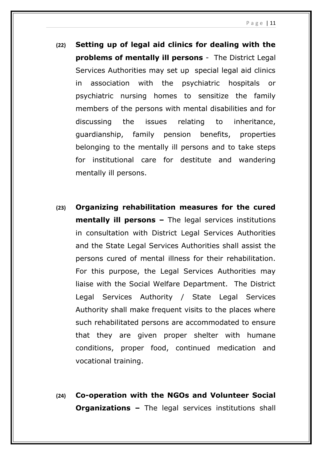- **(22) Setting up of legal aid clinics for dealing with the problems of mentally ill persons** - The District Legal Services Authorities may set up special legal aid clinics in association with the psychiatric hospitals or psychiatric nursing homes to sensitize the family members of the persons with mental disabilities and for discussing the issues relating to inheritance, guardianship, family pension benefits, properties belonging to the mentally ill persons and to take steps for institutional care for destitute and wandering mentally ill persons.
- **(23) Organizing rehabilitation measures for the cured mentally ill persons –** The legal services institutions in consultation with District Legal Services Authorities and the State Legal Services Authorities shall assist the persons cured of mental illness for their rehabilitation. For this purpose, the Legal Services Authorities may liaise with the Social Welfare Department. The District Legal Services Authority / State Legal Services Authority shall make frequent visits to the places where such rehabilitated persons are accommodated to ensure that they are given proper shelter with humane conditions, proper food, continued medication and vocational training.
- **(24) Co-operation with the NGOs and Volunteer Social Organizations –** The legal services institutions shall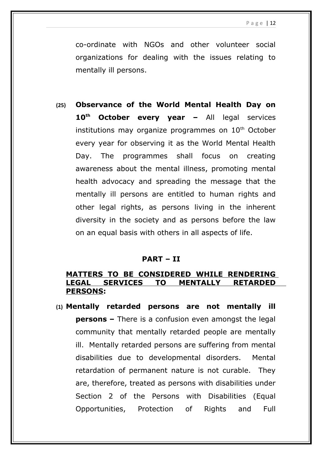co-ordinate with NGOs and other volunteer social organizations for dealing with the issues relating to mentally ill persons.

**(25) Observance of the World Mental Health Day on 10th October every year –** All legal services institutions may organize programmes on  $10<sup>th</sup>$  October every year for observing it as the World Mental Health Day. The programmes shall focus on creating awareness about the mental illness, promoting mental health advocacy and spreading the message that the mentally ill persons are entitled to human rights and other legal rights, as persons living in the inherent diversity in the society and as persons before the law on an equal basis with others in all aspects of life.

#### **PART – II**

### **MATTERS TO BE CONSIDERED WHILE RENDERING LEGAL SERVICES TO MENTALLY RETARDED PERSONS:**

**(1) Mentally retarded persons are not mentally ill persons –** There is a confusion even amongst the legal community that mentally retarded people are mentally ill. Mentally retarded persons are suffering from mental disabilities due to developmental disorders. Mental retardation of permanent nature is not curable. They are, therefore, treated as persons with disabilities under Section 2 of the Persons with Disabilities (Equal Opportunities, Protection of Rights and Full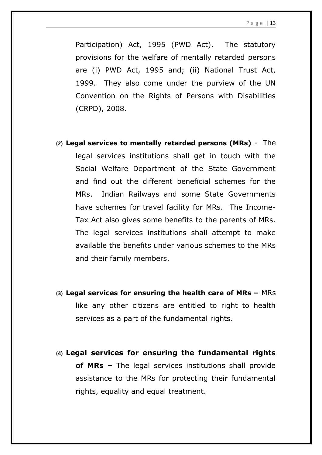Participation) Act, 1995 (PWD Act). The statutory provisions for the welfare of mentally retarded persons are (i) PWD Act, 1995 and; (ii) National Trust Act, 1999. They also come under the purview of the UN Convention on the Rights of Persons with Disabilities (CRPD), 2008.

- **(2) Legal services to mentally retarded persons (MRs)** The legal services institutions shall get in touch with the Social Welfare Department of the State Government and find out the different beneficial schemes for the MRs. Indian Railways and some State Governments have schemes for travel facility for MRs. The Income-Tax Act also gives some benefits to the parents of MRs. The legal services institutions shall attempt to make available the benefits under various schemes to the MRs and their family members.
- **(3) Legal services for ensuring the health care of MRs** MRs like any other citizens are entitled to right to health services as a part of the fundamental rights.
- **(4) Legal services for ensuring the fundamental rights of MRs –** The legal services institutions shall provide assistance to the MRs for protecting their fundamental rights, equality and equal treatment.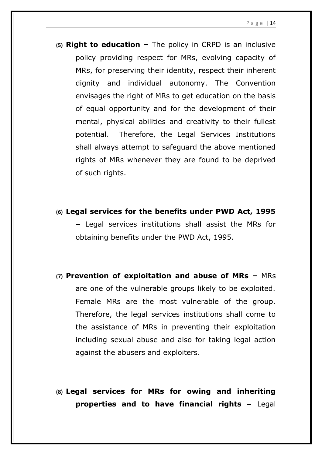- **(5) Right to education** The policy in CRPD is an inclusive policy providing respect for MRs, evolving capacity of MRs, for preserving their identity, respect their inherent dignity and individual autonomy. The Convention envisages the right of MRs to get education on the basis of equal opportunity and for the development of their mental, physical abilities and creativity to their fullest potential. Therefore, the Legal Services Institutions shall always attempt to safeguard the above mentioned rights of MRs whenever they are found to be deprived of such rights.
- **(6) Legal services for the benefits under PWD Act, 1995 –** Legal services institutions shall assist the MRs for obtaining benefits under the PWD Act, 1995.
- **(7) Prevention of exploitation and abuse of MRs** MRs are one of the vulnerable groups likely to be exploited. Female MRs are the most vulnerable of the group. Therefore, the legal services institutions shall come to the assistance of MRs in preventing their exploitation including sexual abuse and also for taking legal action against the abusers and exploiters.
- **(8) Legal services for MRs for owing and inheriting properties and to have financial rights –** Legal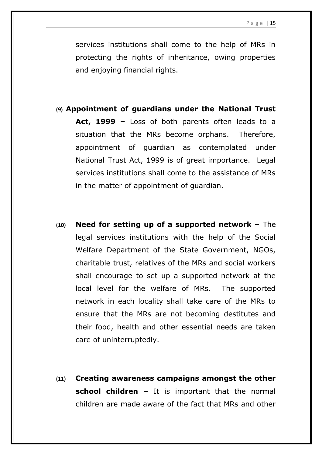services institutions shall come to the help of MRs in protecting the rights of inheritance, owing properties and enjoying financial rights.

- **(9) Appointment of guardians under the National Trust Act, 1999 –** Loss of both parents often leads to a situation that the MRs become orphans. Therefore, appointment of guardian as contemplated under National Trust Act, 1999 is of great importance. Legal services institutions shall come to the assistance of MRs in the matter of appointment of guardian.
- **(10) Need for setting up of a supported network** The legal services institutions with the help of the Social Welfare Department of the State Government, NGOs, charitable trust, relatives of the MRs and social workers shall encourage to set up a supported network at the local level for the welfare of MRs. The supported network in each locality shall take care of the MRs to ensure that the MRs are not becoming destitutes and their food, health and other essential needs are taken care of uninterruptedly.
- **(11) Creating awareness campaigns amongst the other school children –** It is important that the normal children are made aware of the fact that MRs and other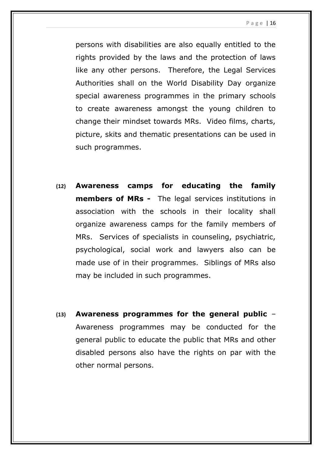P a g e | 16

persons with disabilities are also equally entitled to the rights provided by the laws and the protection of laws like any other persons. Therefore, the Legal Services Authorities shall on the World Disability Day organize special awareness programmes in the primary schools to create awareness amongst the young children to change their mindset towards MRs. Video films, charts, picture, skits and thematic presentations can be used in such programmes.

- **(12) Awareness camps for educating the family members of MRs -** The legal services institutions in association with the schools in their locality shall organize awareness camps for the family members of MRs. Services of specialists in counseling, psychiatric, psychological, social work and lawyers also can be made use of in their programmes. Siblings of MRs also may be included in such programmes.
- **(13) Awareness programmes for the general public** Awareness programmes may be conducted for the general public to educate the public that MRs and other disabled persons also have the rights on par with the other normal persons.